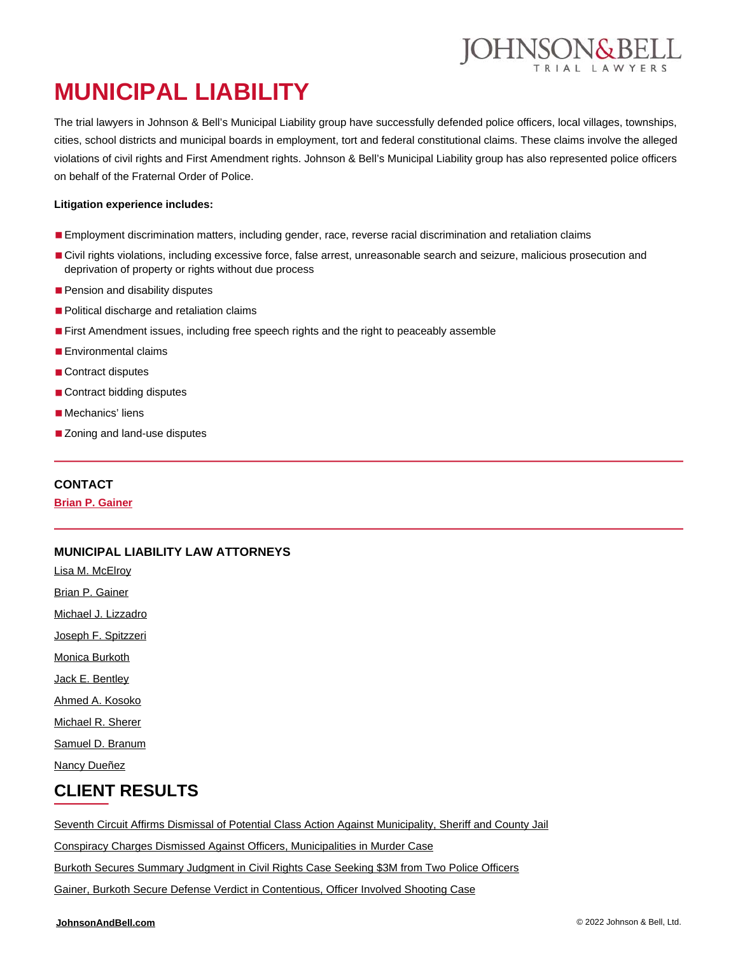# **MUNICIPAL LIABILITY**

The trial lawyers in Johnson & Bell's Municipal Liability group have successfully defended police officers, local villages, townships, cities, school districts and municipal boards in employment, tort and federal constitutional claims. These claims involve the alleged violations of civil rights and First Amendment rights. Johnson & Bell's Municipal Liability group has also represented police officers on behalf of the Fraternal Order of Police.

#### **Litigation experience includes:**

- Employment discrimination matters, including gender, race, reverse racial discrimination and retaliation claims
- Civil rights violations, including excessive force, false arrest, unreasonable search and seizure, malicious prosecution and deprivation of property or rights without due process
- Pension and disability disputes
- Political discharge and retaliation claims
- First Amendment issues, including free speech rights and the right to peaceably assemble
- Environmental claims
- Contract disputes
- Contract bidding disputes
- Mechanics' liens
- Zoning and land-use disputes

#### **CONTACT**

**[Brian P. Gainer](https://johnsonandbell.com/attorneys/brian-p-gainer/)**

#### **MUNICIPAL LIABILITY LAW ATTORNEYS**

[Lisa M. McElroy](https://johnsonandbell.com/attorneys/lisa-m-mcelroy/)

[Brian P. Gainer](https://johnsonandbell.com/attorneys/brian-p-gainer/)

[Michael J. Lizzadro](https://johnsonandbell.com/attorneys/michael-j-lizzadro/)

[Joseph F. Spitzzeri](https://johnsonandbell.com/attorneys/joseph-f-spitzzeri/)

[Monica Burkoth](https://johnsonandbell.com/attorneys/monica-burkoth/)

[Jack E. Bentley](https://johnsonandbell.com/attorneys/jack-e-bentley/)

[Ahmed A. Kosoko](https://johnsonandbell.com/attorneys/ahmed-a-kosoko/)

[Michael R. Sherer](https://johnsonandbell.com/attorneys/michael-r-sherer/)

[Samuel D. Branum](https://johnsonandbell.com/attorneys/samuel-d-branum/)

[Nancy Dueñez](https://johnsonandbell.com/attorneys/nancy-duenez/)

### **CLIENT RESULTS**

[Seventh Circuit Affirms Dismissal of Potential Class Action Against Municipality, Sheriff and County Jail](https://johnsonandbell.com/seventh-circuit-affirms-dismissal-of-potential-class-action-against-municipality-sheriff-and-county-jail/)

[Conspiracy Charges Dismissed Against Officers, Municipalities in Murder Case](https://johnsonandbell.com/federal-court-dismisses-conspiracy-charges-against-officers-and-municipalities-in-murder-case/)

[Burkoth Secures Summary Judgment in Civil Rights Case Seeking \\$3M from Two Police Officers](https://johnsonandbell.com/burkoth-obtains-summary-judgment-in-civil-rights-case/)

[Gainer, Burkoth Secure Defense Verdict in Contentious, Officer Involved Shooting Case](https://johnsonandbell.com/gainer-burkoth-secure-defense-verdict-in-officer-involved-shooting-case/)

DHNSON&BELL